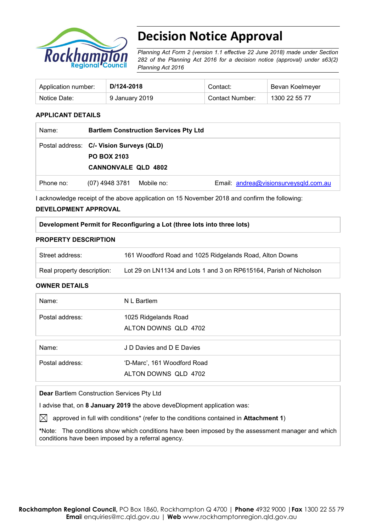

# **Decision Notice Approval**

*Planning Act Form 2 (version 1.1 effective 22 June 2018) made under Section 282 of the Planning Act 2016 for a decision notice (approval) under s63(2) Planning Act 2016*

| Application number: | D/124-2018     | Contact:               | Bevan Koelmeyer |
|---------------------|----------------|------------------------|-----------------|
| Notice Date:        | 9 January 2019 | <b>Contact Number:</b> | 1300 22 55 77   |

## **APPLICANT DETAILS**

| Name:     | <b>Bartlem Construction Services Pty Ltd</b> |            |                                       |
|-----------|----------------------------------------------|------------|---------------------------------------|
|           | Postal address: C/- Vision Surveys (QLD)     |            |                                       |
|           | <b>PO BOX 2103</b>                           |            |                                       |
|           | <b>CANNONVALE QLD 4802</b>                   |            |                                       |
| Phone no: | (07) 4948 3781                               | Mobile no: | Email: andrea@visionsurveysqld.com.au |

I acknowledge receipt of the above application on 15 November 2018 and confirm the following:

### **DEVELOPMENT APPROVAL**

## **Development Permit for Reconfiguring a Lot (three lots into three lots)**

### **PROPERTY DESCRIPTION**

| Street address:            | 161 Woodford Road and 1025 Ridgelands Road, Alton Downs            |
|----------------------------|--------------------------------------------------------------------|
| Real property description: | Lot 29 on LN1134 and Lots 1 and 3 on RP615164, Parish of Nicholson |

### **OWNER DETAILS**

| Name:           | N L Bartlem                                         |
|-----------------|-----------------------------------------------------|
| Postal address: | 1025 Ridgelands Road<br>ALTON DOWNS QLD 4702        |
| Name:           | J D Davies and D E Davies                           |
| Postal address: | 'D-Marc', 161 Woodford Road<br>ALTON DOWNS QLD 4702 |

**Dear** Bartlem Construction Services Pty Ltd

I advise that, on **8 January 2019** the above deveDlopment application was:

 $\boxtimes$  approved in full with conditions<sup>\*</sup> (refer to the conditions contained in **Attachment 1**)

**\***Note:The conditions show which conditions have been imposed by the assessment manager and which conditions have been imposed by a referral agency.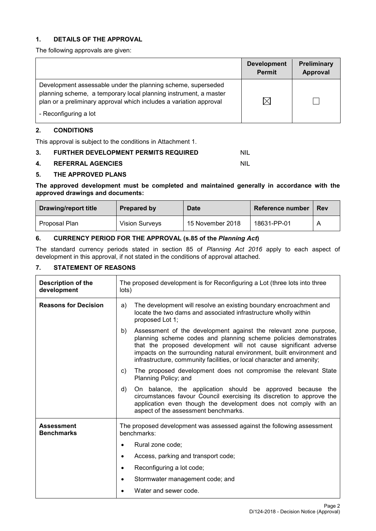# **1. DETAILS OF THE APPROVAL**

The following approvals are given:

|                                                                                                                                                                                                                                 | <b>Development</b><br><b>Permit</b> | Preliminary<br>Approval |
|---------------------------------------------------------------------------------------------------------------------------------------------------------------------------------------------------------------------------------|-------------------------------------|-------------------------|
| Development assessable under the planning scheme, superseded<br>planning scheme, a temporary local planning instrument, a master<br>plan or a preliminary approval which includes a variation approval<br>- Reconfiguring a lot | $\boxtimes$                         |                         |

# **2. CONDITIONS**

This approval is subject to the conditions in Attachment 1.

# **3. FURTHER DEVELOPMENT PERMITS REQUIRED NIL**

### **4. REFERRAL AGENCIES** NIL

# **5. THE APPROVED PLANS**

### **The approved development must be completed and maintained generally in accordance with the approved drawings and documents:**

| <b>Drawing/report title</b> | Prepared by           | <b>Date</b>      | Reference number | <b>Rev</b> |
|-----------------------------|-----------------------|------------------|------------------|------------|
| Proposal Plan               | <b>Vision Surveys</b> | 15 November 2018 | 18631-PP-01      |            |

# **6. CURRENCY PERIOD FOR THE APPROVAL (s.85 of the** *Planning Act***)**

The standard currency periods stated in section 85 of *Planning Act 2016* apply to each aspect of development in this approval, if not stated in the conditions of approval attached.

# **7. STATEMENT OF REASONS**

| Description of the<br>development      | The proposed development is for Reconfiguring a Lot (three lots into three<br>lots)                                                                                                                                                                                                                                                                             |  |
|----------------------------------------|-----------------------------------------------------------------------------------------------------------------------------------------------------------------------------------------------------------------------------------------------------------------------------------------------------------------------------------------------------------------|--|
| <b>Reasons for Decision</b>            | The development will resolve an existing boundary encroachment and<br>a)<br>locate the two dams and associated infrastructure wholly within<br>proposed Lot 1;                                                                                                                                                                                                  |  |
|                                        | Assessment of the development against the relevant zone purpose,<br>b)<br>planning scheme codes and planning scheme policies demonstrates<br>that the proposed development will not cause significant adverse<br>impacts on the surrounding natural environment, built environment and<br>infrastructure, community facilities, or local character and amenity; |  |
|                                        | The proposed development does not compromise the relevant State<br>C)<br>Planning Policy; and                                                                                                                                                                                                                                                                   |  |
|                                        | On balance, the application should be approved because the<br>d)<br>circumstances favour Council exercising its discretion to approve the<br>application even though the development does not comply with an<br>aspect of the assessment benchmarks.                                                                                                            |  |
| <b>Assessment</b><br><b>Benchmarks</b> | The proposed development was assessed against the following assessment<br>benchmarks:                                                                                                                                                                                                                                                                           |  |
|                                        | Rural zone code;                                                                                                                                                                                                                                                                                                                                                |  |
|                                        | Access, parking and transport code;<br>$\bullet$                                                                                                                                                                                                                                                                                                                |  |
|                                        | Reconfiguring a lot code;                                                                                                                                                                                                                                                                                                                                       |  |
|                                        | Stormwater management code; and                                                                                                                                                                                                                                                                                                                                 |  |
|                                        | Water and sewer code.                                                                                                                                                                                                                                                                                                                                           |  |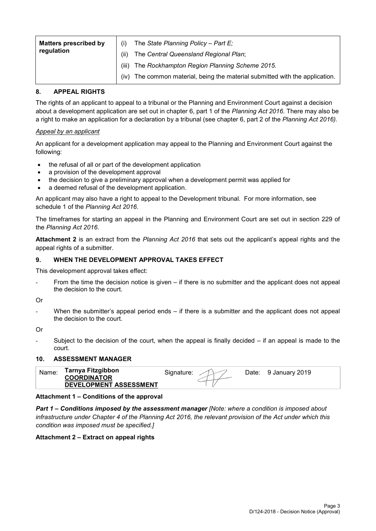| <b>Matters prescribed by</b> |       | The State Planning Policy - Part $E_i$                                  |
|------------------------------|-------|-------------------------------------------------------------------------|
| regulation                   | (ii)  | The Central Queensland Regional Plan;                                   |
|                              | (iii) | The Rockhampton Region Planning Scheme 2015.                            |
|                              | (iv)  | The common material, being the material submitted with the application. |

# **8. APPEAL RIGHTS**

The rights of an applicant to appeal to a tribunal or the Planning and Environment Court against a decision about a development application are set out in chapter 6, part 1 of the *Planning Act 2016*. There may also be a right to make an application for a declaration by a tribunal (see chapter 6, part 2 of the *Planning Act 2016).*

## *Appeal by an applicant*

An applicant for a development application may appeal to the Planning and Environment Court against the following:

- the refusal of all or part of the development application
- a provision of the development approval
- the decision to give a preliminary approval when a development permit was applied for
- a deemed refusal of the development application.

An applicant may also have a right to appeal to the Development tribunal. For more information, see schedule 1 of the *Planning Act 2016*.

The timeframes for starting an appeal in the Planning and Environment Court are set out in section 229 of the *Planning Act 2016*.

**Attachment 2** is an extract from the *Planning Act 2016* that sets out the applicant's appeal rights and the appeal rights of a submitter.

## **9. WHEN THE DEVELOPMENT APPROVAL TAKES EFFECT**

This development approval takes effect:

From the time the decision notice is given  $-$  if there is no submitter and the applicant does not appeal the decision to the court.

Or

When the submitter's appeal period ends  $-$  if there is a submitter and the applicant does not appeal the decision to the court.

Or

Subject to the decision of the court, when the appeal is finally decided  $-$  if an appeal is made to the court.

### **10. ASSESSMENT MANAGER**

| Name. | Tarnya Fitzgibbon<br><b>COORDINATOR</b> | Signature: | Date: | 9 January 2019 |
|-------|-----------------------------------------|------------|-------|----------------|
|       | <b>DEVELOPMENT ASSESSMENT</b>           |            |       |                |

### **Attachment 1 – Conditions of the approval**

*Part 1* **–** *Conditions imposed by the assessment manager [Note: where a condition is imposed about infrastructure under Chapter 4 of the Planning Act 2016, the relevant provision of the Act under which this condition was imposed must be specified.]*

### **Attachment 2 – Extract on appeal rights**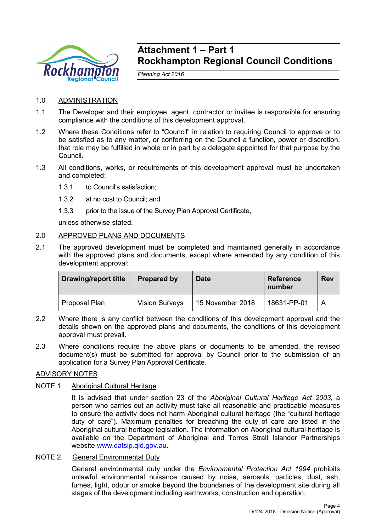

# **Attachment 1 – Part 1 Rockhampton Regional Council Conditions**

*Planning Act 2016*

- 1.0 ADMINISTRATION
- 1.1 The Developer and their employee, agent, contractor or invitee is responsible for ensuring compliance with the conditions of this development approval.
- 1.2 Where these Conditions refer to "Council" in relation to requiring Council to approve or to be satisfied as to any matter, or conferring on the Council a function, power or discretion, that role may be fulfilled in whole or in part by a delegate appointed for that purpose by the Council.
- 1.3 All conditions, works, or requirements of this development approval must be undertaken and completed:
	- 1.3.1 to Council's satisfaction;
	- 1.3.2 at no cost to Council; and
	- 1.3.3 prior to the issue of the Survey Plan Approval Certificate,

unless otherwise stated.

# 2.0 APPROVED PLANS AND DOCUMENTS

2.1 The approved development must be completed and maintained generally in accordance with the approved plans and documents, except where amended by any condition of this development approval:

| <b>Drawing/report title</b> | <b>Prepared by</b>    | <b>Date</b>      | <b>Reference</b><br>number | <b>Rev</b> |
|-----------------------------|-----------------------|------------------|----------------------------|------------|
| Proposal Plan               | <b>Vision Surveys</b> | 15 November 2018 | 18631-PP-01                | A          |

- 2.2 Where there is any conflict between the conditions of this development approval and the details shown on the approved plans and documents, the conditions of this development approval must prevail.
- 2.3 Where conditions require the above plans or documents to be amended, the revised document(s) must be submitted for approval by Council prior to the submission of an application for a Survey Plan Approval Certificate.

# ADVISORY NOTES

# NOTE 1. Aboriginal Cultural Heritage

It is advised that under section 23 of the *Aboriginal Cultural Heritage Act 2003*, a person who carries out an activity must take all reasonable and practicable measures to ensure the activity does not harm Aboriginal cultural heritage (the "cultural heritage duty of care"). Maximum penalties for breaching the duty of care are listed in the Aboriginal cultural heritage legislation. The information on Aboriginal cultural heritage is available on the Department of Aboriginal and Torres Strait Islander Partnerships website [www.datsip.qld.gov.au.](http://www.datsip.qld.gov.au/)

# NOTE 2. General Environmental Duty

General environmental duty under the *Environmental Protection Act 1994* prohibits unlawful environmental nuisance caused by noise, aerosols, particles, dust, ash, fumes, light, odour or smoke beyond the boundaries of the development site during all stages of the development including earthworks, construction and operation.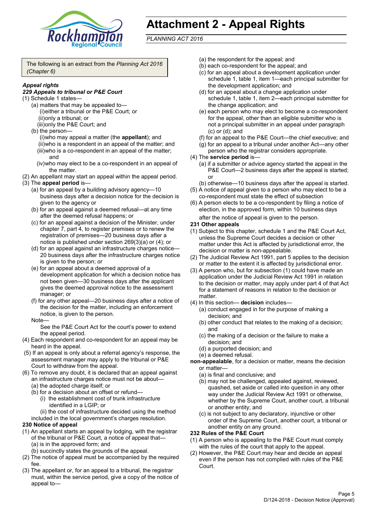

# **Attachment 2 - Appeal Rights**

*PLANNING ACT 2016*

The following is an extract from the *Planning Act 2016 (Chapter 6)*

### *Appeal rights*

### *229 Appeals to tribunal or P&E Court*

- (1) Schedule 1 states—
	- (a) matters that may be appealed to— (i)either a tribunal or the P&E Court; or (ii)only a tribunal; or (iii)only the P&E Court; and
	- (b) the person—

(i)who may appeal a matter (the **appellant**); and (ii)who is a respondent in an appeal of the matter; and (iii)who is a co-respondent in an appeal of the matter; and

- (iv)who may elect to be a co-respondent in an appeal of the matter.
- (2) An appellant may start an appeal within the appeal period.
- (3) The **appeal period** is—
	- (a) for an appeal by a building advisory agency—10 business days after a decision notice for the decision is given to the agency or
	- (b) for an appeal against a deemed refusal—at any time after the deemed refusal happens; or
	- (c) for an appeal against a decision of the Minister, under chapter 7, part 4, to register premises or to renew the registration of premises—20 business days after a notice is published under section 269(3)(a) or (4); or
	- (d) for an appeal against an infrastructure charges notice— 20 business days after the infrastructure charges notice is given to the person; or
	- (e) for an appeal about a deemed approval of a development application for which a decision notice has not been given—30 business days after the applicant gives the deemed approval notice to the assessment manager; or
	- (f) for any other appeal—20 business days after a notice of the decision for the matter, including an enforcement notice, is given to the person.

### Note—

See the P&E Court Act for the court's power to extend the appeal period.

- (4) Each respondent and co-respondent for an appeal may be heard in the appeal.
- (5) If an appeal is only about a referral agency's response, the assessment manager may apply to the tribunal or P&E Court to withdraw from the appeal.
- (6) To remove any doubt, it is declared that an appeal against an infrastructure charges notice must not be about—
	- (a) the adopted charge itself; or
	- (b) for a decision about an offset or refund—
		- (i) the establishment cost of trunk infrastructure identified in a LGIP; or
		- (ii) the cost of infrastructure decided using the method

included in the local government's charges resolution.

### **230 Notice of appeal**

- (1) An appellant starts an appeal by lodging, with the registrar of the tribunal or P&E Court, a notice of appeal that—
	- (a) is in the approved form; and
	- (b) succinctly states the grounds of the appeal.
- (2) The notice of appeal must be accompanied by the required fee.
- (3) The appellant or, for an appeal to a tribunal, the registrar must, within the service period, give a copy of the notice of appeal to—
- (a) the respondent for the appeal; and
- (b) each co-respondent for the appeal; and
- (c) for an appeal about a development application under schedule 1, table 1, item 1—each principal submitter for the development application; and
- (d) for an appeal about a change application under schedule 1, table 1, item 2—each principal submitter for the change application; and
- (e) each person who may elect to become a co-respondent for the appeal, other than an eligible submitter who is not a principal submitter in an appeal under paragraph (c) or (d); and
- (f) for an appeal to the P&E Court—the chief executive; and
- (g) for an appeal to a tribunal under another Act—any other person who the registrar considers appropriate.
- (4) The **service period** is—
	- (a) if a submitter or advice agency started the appeal in the P&E Court—2 business days after the appeal is started; or
	- (b) otherwise—10 business days after the appeal is started.
- (5) A notice of appeal given to a person who may elect to be a co-respondent must state the effect of subsection
- (6) A person elects to be a co-respondent by filing a notice of election, in the approved form, within 10 business days after the notice of appeal is given to the person*.*
- **231 Other appeals**
- (1) Subject to this chapter, schedule 1 and the P&E Court Act, unless the Supreme Court decides a decision or other matter under this Act is affected by jurisdictional error, the decision or matter is non-appealable.
- (2) The Judicial Review Act 1991, part 5 applies to the decision or matter to the extent it is affected by jurisdictional error.
- (3) A person who, but for subsection (1) could have made an application under the Judicial Review Act 1991 in relation to the decision or matter, may apply under part 4 of that Act for a statement of reasons in relation to the decision or matter.
- (4) In this section— **decision** includes—
	- (a) conduct engaged in for the purpose of making a decision; and
	- (b) other conduct that relates to the making of a decision; and
	- (c) the making of a decision or the failure to make a decision; and
	- (d) a purported decision; and
	- (e) a deemed refusal.

**non-appealable**, for a decision or matter, means the decision or matter—

- (a) is final and conclusive; and
- (b) may not be challenged, appealed against, reviewed, quashed, set aside or called into question in any other way under the Judicial Review Act 1991 or otherwise, whether by the Supreme Court, another court, a tribunal or another entity; and
- (c) is not subject to any declaratory, injunctive or other order of the Supreme Court, another court, a tribunal or another entity on any ground.

### **232 Rules of the P&E Court**

- (1) A person who is appealing to the P&E Court must comply with the rules of the court that apply to the appeal.
- (2) However, the P&E Court may hear and decide an appeal even if the person has not complied with rules of the P&E Court.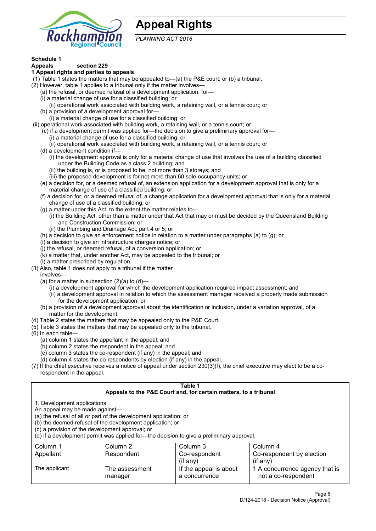

# **Appeal Rights**

*PLANNING ACT 2016*

# **Schedule 1**

### **Appeals section 229 1 Appeal rights and parties to appeals**

- (1) Table 1 states the matters that may be appealed to—(a) the P&E court; or (b) a tribunal.
- (2) However, table 1 applies to a tribunal only if the matter involves—
	- (a) the refusal, or deemed refusal of a development application, for—
	- (i) a material change of use for a classified building; or
	- (ii) operational work associated with building work, a retaining wall, or a tennis court; or
	- (b) a provision of a development approval for—
	- (i) a material change of use for a classified building; or
- (ii) operational work associated with building work, a retaining wall, or a tennis court; or
	- (c) if a development permit was applied for—the decision to give a preliminary approval for—
		- (i) a material change of use for a classified building; or
		- (ii) operational work associated with building work, a retaining wall, or a tennis court; or
	- (d) a development condition if—
		- (i) the development approval is only for a material change of use that involves the use of a building classified under the Building Code as a class 2 building; and
		- (ii) the building is, or is proposed to be, not more than 3 storeys; and
		- (iii) the proposed development is for not more than 60 sole-occupancy units; or
	- (e) a decision for, or a deemed refusal of, an extension application for a development approval that is only for a material change of use of a classified building; or
	- (f) a decision for, or a deemed refusal of, a change application for a development approval that is only for a material change of use of a classified building; or
	- (g) a matter under this Act, to the extent the matter relates to—
		- (i) the Building Act, other than a matter under that Act that may or must be decided by the Queensland Building and Construction Commission; or
		- (ii) the Plumbing and Drainage Act, part 4 or 5; or
	- (h) a decision to give an enforcement notice in relation to a matter under paragraphs (a) to (g); or
	- (i) a decision to give an infrastructure charges notice; or
	- (j) the refusal, or deemed refusal, of a conversion application; or
	- (k) a matter that, under another Act, may be appealed to the tribunal; or
	- (l) a matter prescribed by regulation.
- (3) Also, table 1 does not apply to a tribunal if the matter
	- involves—
	- (a) for a matter in subsection  $(2)(a)$  to  $(d)$ 
		- (i) a development approval for which the development application required impact assessment; and
		- (ii) a development approval in relation to which the assessment manager received a properly made submission for the development application; or
	- (b) a provision of a development approval about the identification or inclusion, under a variation approval, of a matter for the development.
- (4) Table 2 states the matters that may be appealed only to the P&E Court.
- (5) Table 3 states the matters that may be appealed only to the tribunal.
- (6) In each table—
	- (a) column 1 states the appellant in the appeal; and
	- (b) column 2 states the respondent in the appeal; and
	- (c) column 3 states the co-respondent (if any) in the appeal; and
	- (d) column 4 states the co-respondents by election (if any) in the appeal.
- (7) If the chief executive receives a notice of appeal under section 230(3)(f), the chief executive may elect to be a corespondent in the appeal.

| Table 1<br>Appeals to the P&E Court and, for certain matters, to a tribunal                                                                                                                                                                                                                                                                    |                                     |                                         |                                                       |  |  |  |
|------------------------------------------------------------------------------------------------------------------------------------------------------------------------------------------------------------------------------------------------------------------------------------------------------------------------------------------------|-------------------------------------|-----------------------------------------|-------------------------------------------------------|--|--|--|
| 1. Development applications<br>An appeal may be made against-<br>(a) the refusal of all or part of the development application; or<br>(b) the deemed refusal of the development application; or<br>(c) a provision of the development approval; or<br>(d) if a development permit was applied for-the decision to give a preliminary approval. |                                     |                                         |                                                       |  |  |  |
| Column 1                                                                                                                                                                                                                                                                                                                                       | Column 2                            | Column 3                                | Column 4                                              |  |  |  |
| Appellant                                                                                                                                                                                                                                                                                                                                      | Respondent                          | Co-respondent                           | Co-respondent by election                             |  |  |  |
|                                                                                                                                                                                                                                                                                                                                                | $($ if any $)$<br>$(f \text{an} v)$ |                                         |                                                       |  |  |  |
| The applicant                                                                                                                                                                                                                                                                                                                                  | The assessment<br>manager           | If the appeal is about<br>a concurrence | 1 A concurrence agency that is<br>not a co-respondent |  |  |  |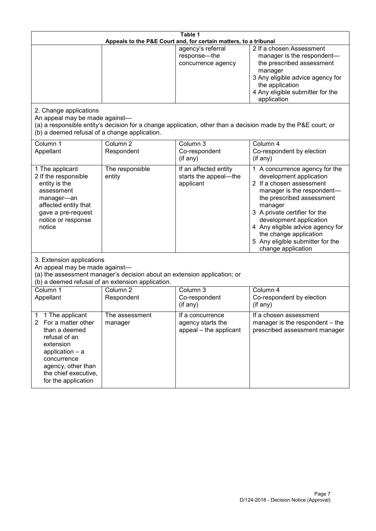| Table 1<br>Appeals to the P&E Court and, for certain matters, to a tribunal                                                                                                                                      |                                                                                                                               |                                                                 |                                                                                                                                                                                                                                                                                                                                                 |  |
|------------------------------------------------------------------------------------------------------------------------------------------------------------------------------------------------------------------|-------------------------------------------------------------------------------------------------------------------------------|-----------------------------------------------------------------|-------------------------------------------------------------------------------------------------------------------------------------------------------------------------------------------------------------------------------------------------------------------------------------------------------------------------------------------------|--|
|                                                                                                                                                                                                                  |                                                                                                                               | agency's referral<br>response-the<br>concurrence agency         | 2 If a chosen Assessment<br>manager is the respondent-<br>the prescribed assessment<br>manager<br>3 Any eligible advice agency for<br>the application<br>4 Any eligible submitter for the<br>application                                                                                                                                        |  |
| 2. Change applications<br>An appeal may be made against-<br>(b) a deemed refusal of a change application.                                                                                                        |                                                                                                                               |                                                                 | (a) a responsible entity's decision for a change application, other than a decision made by the P&E court; or                                                                                                                                                                                                                                   |  |
| Column 1<br>Appellant                                                                                                                                                                                            | Column <sub>2</sub><br>Respondent                                                                                             | Column 3<br>Co-respondent<br>(if any)                           | Column 4<br>Co-respondent by election<br>(if any)                                                                                                                                                                                                                                                                                               |  |
| 1 The applicant<br>2 If the responsible<br>entity is the<br>assessment<br>manager-an<br>affected entity that<br>gave a pre-request<br>notice or response<br>notice                                               | The responsible<br>entity                                                                                                     | If an affected entity<br>starts the appeal-the<br>applicant     | 1 A concurrence agency for the<br>development application<br>2 If a chosen assessment<br>manager is the respondent-<br>the prescribed assessment<br>manager<br>3 A private certifier for the<br>development application<br>4 Any eligible advice agency for<br>the change application<br>5 Any eligible submitter for the<br>change application |  |
| 3. Extension applications<br>An appeal may be made against-                                                                                                                                                      | (a) the assessment manager's decision about an extension application; or<br>(b) a deemed refusal of an extension application. |                                                                 |                                                                                                                                                                                                                                                                                                                                                 |  |
| Column 1<br>Appellant                                                                                                                                                                                            | Column <sub>2</sub><br>Respondent                                                                                             | Column 3<br>Co-respondent<br>(if any)                           | Column 4<br>Co-respondent by election<br>(if any)                                                                                                                                                                                                                                                                                               |  |
| 1 The applicant<br>1<br>For a matter other<br>$\mathbf{2}$<br>than a deemed<br>refusal of an<br>extension<br>application - a<br>concurrence<br>agency, other than<br>the chief executive,<br>for the application | The assessment<br>manager                                                                                                     | If a concurrence<br>agency starts the<br>appeal - the applicant | If a chosen assessment<br>manager is the respondent – the<br>prescribed assessment manager                                                                                                                                                                                                                                                      |  |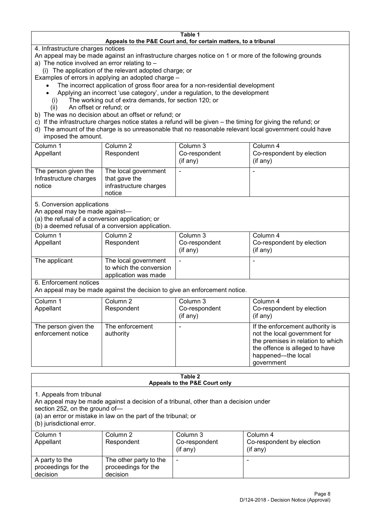### **Table 1 Appeals to the P&E Court and, for certain matters, to a tribunal**

4. Infrastructure charges notices

- An appeal may be made against an infrastructure charges notice on 1 or more of the following grounds
- a) The notice involved an error relating to
	- (i) The application of the relevant adopted charge; or
- Examples of errors in applying an adopted charge
	- The incorrect application of gross floor area for a non-residential development
	- Applying an incorrect 'use category', under a regulation, to the development
	- (i) The working out of extra demands, for section 120; or
	- (ii) An offset or refund; or
- b) The was no decision about an offset or refund; or
- c) If the infrastructure charges notice states a refund will be given the timing for giving the refund; or
- d) The amount of the charge is so unreasonable that no reasonable relevant local government could have
- imposed the amount.

| Column 1                                                 | Column 2                                                                  | Column 3      | Column 4                  |
|----------------------------------------------------------|---------------------------------------------------------------------------|---------------|---------------------------|
| Appellant                                                | Respondent                                                                | Co-respondent | Co-respondent by election |
|                                                          |                                                                           | $(if$ any)    | (if any)                  |
| The person given the<br>Infrastructure charges<br>notice | The local government<br>that gave the<br>infrastructure charges<br>notice |               |                           |

5. Conversion applications

An appeal may be made against—

(a) the refusal of a conversion application; or

(b) a deemed refusal of a conversion application.

| Column 1<br>Appellant | Column 2<br>Respondent                                                  | Column 3<br>Co-respondent<br>$($ if any $)$ | Column 4<br>Co-respondent by election<br>$(if$ any) |
|-----------------------|-------------------------------------------------------------------------|---------------------------------------------|-----------------------------------------------------|
| The applicant         | The local government<br>to which the conversion<br>application was made |                                             |                                                     |

6. Enforcement notices

An appeal may be made against the decision to give an enforcement notice.

| Column 1                                   | Column 2                     | Column 3      | Column 4                                                                                                                                                                   |
|--------------------------------------------|------------------------------|---------------|----------------------------------------------------------------------------------------------------------------------------------------------------------------------------|
| Appellant                                  | Respondent                   | Co-respondent | Co-respondent by election                                                                                                                                                  |
|                                            |                              | (if any)      | $($ if any $)$                                                                                                                                                             |
| The person given the<br>enforcement notice | The enforcement<br>authority |               | If the enforcement authority is<br>not the local government for<br>the premises in relation to which<br>the offence is alleged to have<br>happened-the local<br>government |

#### **Table 2 Appeals to the P&E Court only**

1. Appeals from tribunal

An appeal may be made against a decision of a tribunal, other than a decision under

section 252, on the ground of—

(a) an error or mistake in law on the part of the tribunal; or

(b) jurisdictional error.

| Column 1<br>Appellant                             | Column 2<br>Respondent                                    | Column 3<br>Co-respondent<br>$($ if any $)$ | Column 4<br>Co-respondent by election<br>$($ if any $)$ |
|---------------------------------------------------|-----------------------------------------------------------|---------------------------------------------|---------------------------------------------------------|
| A party to the<br>proceedings for the<br>decision | The other party to the<br>proceedings for the<br>decision | $\overline{\phantom{a}}$                    |                                                         |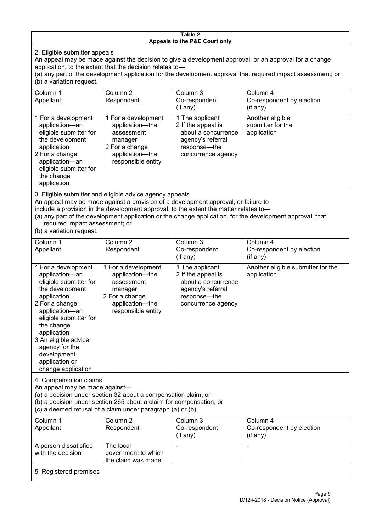### **Table 2 Appeals to the P&E Court only**

2. Eligible submitter appeals

An appeal may be made against the decision to give a development approval, or an approval for a change application, to the extent that the decision relates to—

(a) any part of the development application for the development approval that required impact assessment; or (b) a variation request.

| Column 1                                                                                                                                                                                                                                                                                                                                             | Column 2                                                                                                                   | Column 3                                                                                                                | Column 4                                             |
|------------------------------------------------------------------------------------------------------------------------------------------------------------------------------------------------------------------------------------------------------------------------------------------------------------------------------------------------------|----------------------------------------------------------------------------------------------------------------------------|-------------------------------------------------------------------------------------------------------------------------|------------------------------------------------------|
| Appellant                                                                                                                                                                                                                                                                                                                                            | Respondent                                                                                                                 | Co-respondent                                                                                                           | Co-respondent by election                            |
|                                                                                                                                                                                                                                                                                                                                                      |                                                                                                                            | $($ if any $)$                                                                                                          | (if any)                                             |
| 1 For a development<br>application-an<br>eligible submitter for<br>the development<br>application<br>2 For a change<br>application-an<br>eligible submitter for<br>the change<br>application                                                                                                                                                         | 1 For a development<br>application—the<br>assessment<br>manager<br>2 For a change<br>application-the<br>responsible entity | 1 The applicant<br>2 If the appeal is<br>about a concurrence<br>agency's referral<br>response—the<br>concurrence agency | Another eligible<br>submitter for the<br>application |
| 3. Eligible submitter and eligible advice agency appeals<br>An appeal may be made against a provision of a development approval, or failure to<br>include a provision in the development approval, to the extent the matter relates to-<br>(a) any part of the development application or the change application, for the development approval, that |                                                                                                                            |                                                                                                                         |                                                      |

required impact assessment; or

(b) a variation request.

| Column 1<br>Appellant                                                                                                                                                                                                                                                                         | Column 2<br>Respondent                                                                                                     | Column 3<br>Co-respondent<br>(if any)                                                                                   | Column 4<br>Co-respondent by election<br>(if any) |
|-----------------------------------------------------------------------------------------------------------------------------------------------------------------------------------------------------------------------------------------------------------------------------------------------|----------------------------------------------------------------------------------------------------------------------------|-------------------------------------------------------------------------------------------------------------------------|---------------------------------------------------|
| 1 For a development<br>application-an<br>eligible submitter for<br>the development<br>application<br>2 For a change<br>application-an<br>eligible submitter for<br>the change<br>application<br>3 An eligible advice<br>agency for the<br>development<br>application or<br>change application | 1 For a development<br>application-the<br>assessment<br>manager<br>2 For a change<br>application-the<br>responsible entity | 1 The applicant<br>2 If the appeal is<br>about a concurrence<br>agency's referral<br>response-the<br>concurrence agency | Another eligible submitter for the<br>application |
| 4. Compensation claims<br>An appeal may be made against-<br>(a) a decision under section 32 about a compensation claim; or<br>(b) a decision under section 265 about a claim for compensation; or<br>(c) a deemed refusal of a claim under paragraph (a) or (b).                              |                                                                                                                            |                                                                                                                         |                                                   |
| Column 1<br>Appellant                                                                                                                                                                                                                                                                         | Column <sub>2</sub><br>Respondent                                                                                          | Column 3<br>Co-respondent<br>(if any)                                                                                   | Column 4<br>Co-respondent by election<br>(if any) |
| A person dissatisfied<br>with the decision                                                                                                                                                                                                                                                    | The local<br>government to which                                                                                           |                                                                                                                         |                                                   |

5. Registered premises

the claim was made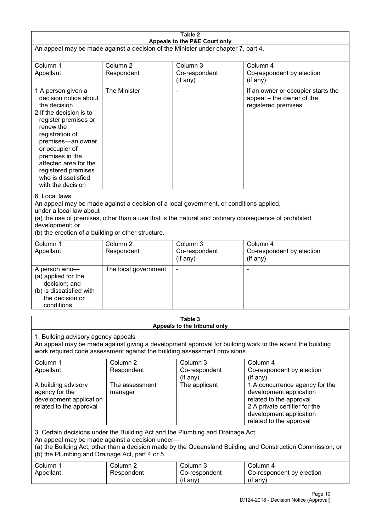| Table 2<br>Appeals to the P&E Court only                                                                                                                                                                                                                                                                             |                                   |                                         |                                                                                                                                                                             |  |
|----------------------------------------------------------------------------------------------------------------------------------------------------------------------------------------------------------------------------------------------------------------------------------------------------------------------|-----------------------------------|-----------------------------------------|-----------------------------------------------------------------------------------------------------------------------------------------------------------------------------|--|
| An appeal may be made against a decision of the Minister under chapter 7, part 4.                                                                                                                                                                                                                                    |                                   |                                         |                                                                                                                                                                             |  |
| Column 1<br>Appellant                                                                                                                                                                                                                                                                                                | Column <sub>2</sub><br>Respondent | Column 3<br>Co-respondent<br>(if any)   | Column 4<br>Co-respondent by election<br>(if any)                                                                                                                           |  |
| 1 A person given a<br>decision notice about<br>the decision<br>2 If the decision is to<br>register premises or<br>renew the<br>registration of<br>premises-an owner<br>or occupier of<br>premises in the<br>affected area for the<br>registered premises<br>who is dissatisfied<br>with the decision                 | The Minister                      |                                         | If an owner or occupier starts the<br>appeal – the owner of the<br>registered premises                                                                                      |  |
| 6. Local laws<br>An appeal may be made against a decision of a local government, or conditions applied,<br>under a local law about-<br>(a) the use of premises, other than a use that is the natural and ordinary consequence of prohibited<br>development; or<br>(b) the erection of a building or other structure. |                                   |                                         |                                                                                                                                                                             |  |
| Column 1<br>Appellant                                                                                                                                                                                                                                                                                                | Column <sub>2</sub><br>Respondent | Column 3<br>Co-respondent<br>(if any)   | Column 4<br>Co-respondent by election<br>(if any)                                                                                                                           |  |
| A person who-<br>(a) applied for the<br>decision; and<br>(b) is dissatisfied with<br>the decision or<br>conditions.                                                                                                                                                                                                  | The local government              |                                         |                                                                                                                                                                             |  |
|                                                                                                                                                                                                                                                                                                                      |                                   | Table 3<br>Appeals to the tribunal only |                                                                                                                                                                             |  |
| 1. Building advisory agency appeals<br>An appeal may be made against giving a development approval for building work to the extent the building<br>work required code assessment against the building assessment provisions.                                                                                         |                                   |                                         |                                                                                                                                                                             |  |
| Column 1<br>Appellant                                                                                                                                                                                                                                                                                                | Column <sub>2</sub><br>Respondent | Column 3<br>Co-respondent<br>(if any)   | Column 4<br>Co-respondent by election<br>(if any)                                                                                                                           |  |
| A building advisory<br>agency for the<br>development application<br>related to the approval                                                                                                                                                                                                                          | The assessment<br>manager         | The applicant                           | 1 A concurrence agency for the<br>development application<br>related to the approval<br>2 A private certifier for the<br>development application<br>related to the approval |  |
| 3. Certain decisions under the Building Act and the Plumbing and Drainage Act<br>An appeal may be made against a decision under-<br>(a) the Building Act, other than a decision made by the Queensland Building and Construction Commission; or<br>(b) the Plumbing and Drainage Act, part 4 or 5.                   |                                   |                                         |                                                                                                                                                                             |  |
| Column 1<br>Appellant                                                                                                                                                                                                                                                                                                | Column <sub>2</sub><br>Respondent | Column 3<br>Co-respondent<br>(if any)   | Column 4<br>Co-respondent by election<br>(if any)                                                                                                                           |  |